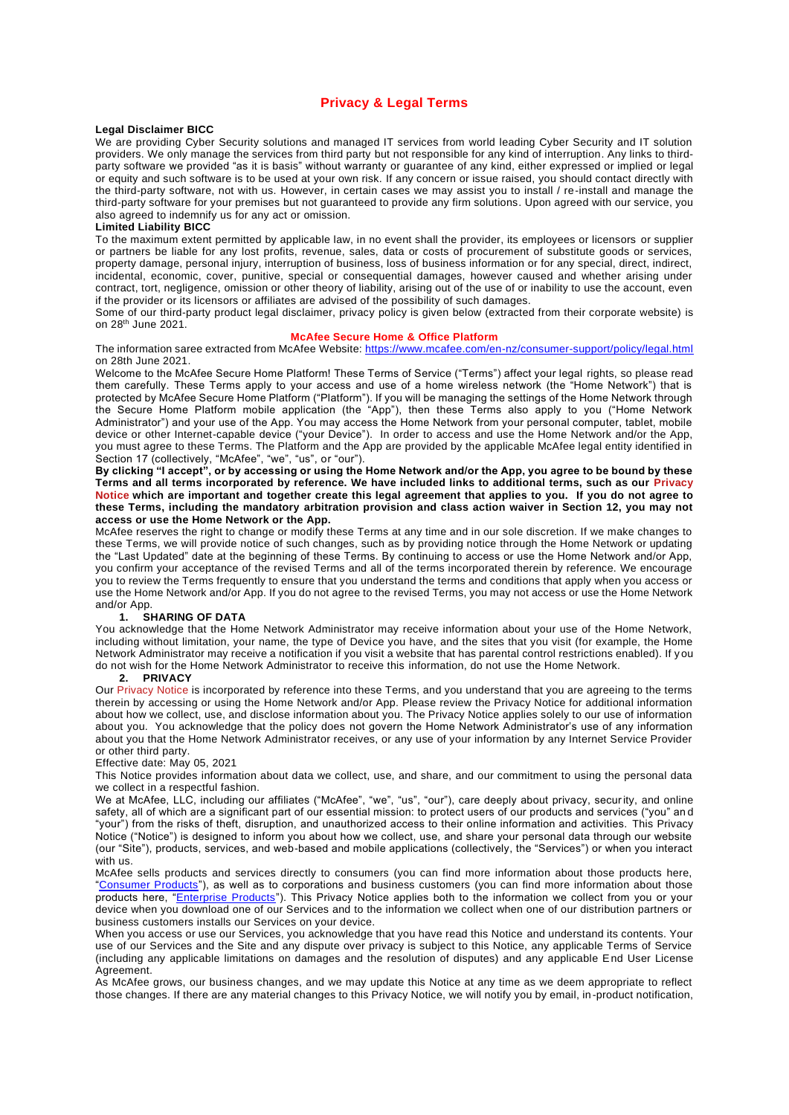## **Privacy & Legal Terms**

#### **Legal Disclaimer BICC**

We are providing Cyber Security solutions and managed IT services from world leading Cyber Security and IT solution providers. We only manage the services from third party but not responsible for any kind of interruption. Any links to thirdparty software we provided "as it is basis" without warranty or guarantee of any kind, either expressed or implied or legal or equity and such software is to be used at your own risk. If any concern or issue raised, you should contact directly with the third-party software, not with us. However, in certain cases we may assist you to install / re-install and manage the third-party software for your premises but not guaranteed to provide any firm solutions. Upon agreed with our service, you also agreed to indemnify us for any act or omission.

#### **Limited Liability BICC**

To the maximum extent permitted by applicable law, in no event shall the provider, its employees or licensors or supplier or partners be liable for any lost profits, revenue, sales, data or costs of procurement of substitute goods or services, property damage, personal injury, interruption of business, loss of business information or for any special, direct, indirect, incidental, economic, cover, punitive, special or consequential damages, however caused and whether arising under contract, tort, negligence, omission or other theory of liability, arising out of the use of or inability to use the account, even if the provider or its licensors or affiliates are advised of the possibility of such damages.

Some of our third-party product legal disclaimer, privacy policy is given below (extracted from their corporate website) is on 28th June 2021.

#### **McAfee Secure Home & Office Platform**

The information saree extracted from McAfee Website: <https://www.mcafee.com/en-nz/consumer-support/policy/legal.html> on 28th June 2021.

Welcome to the McAfee Secure Home Platform! These Terms of Service ("Terms") affect your legal rights, so please read them carefully. These Terms apply to your access and use of a home wireless network (the "Home Network") that is protected by McAfee Secure Home Platform ("Platform"). If you will be managing the settings of the Home Network through the Secure Home Platform mobile application (the "App"), then these Terms also apply to you ("Home Network Administrator") and your use of the App. You may access the Home Network from your personal computer, tablet, mobile device or other Internet-capable device ("your Device"). In order to access and use the Home Network and/or the App, you must agree to these Terms. The Platform and the App are provided by the applicable McAfee legal entity identified in Section 17 (collectively, "McAfee", "we", "us", or "our").

**By clicking "I accept", or by accessing or using the Home Network and/or the App, you agree to be bound by these Terms and all terms incorporated by reference. We have included links to additional terms, such as our [Privacy](https://www.mcafee.com/en-nz/consumer-support/policy/legal.html#privacytop)  [Notice](https://www.mcafee.com/en-nz/consumer-support/policy/legal.html#privacytop) which are important and together create this legal agreement that applies to you. If you do not agree to these Terms, including the mandatory arbitration provision and class action waiver in Section 12, you may not access or use the Home Network or the App.**

McAfee reserves the right to change or modify these Terms at any time and in our sole discretion. If we make changes to these Terms, we will provide notice of such changes, such as by providing notice through the Home Network or updating the "Last Updated" date at the beginning of these Terms. By continuing to access or use the Home Network and/or App, you confirm your acceptance of the revised Terms and all of the terms incorporated therein by reference. We encourage you to review the Terms frequently to ensure that you understand the terms and conditions that apply when you access or use the Home Network and/or App. If you do not agree to the revised Terms, you may not access or use the Home Network and/or App.<br>1. **S** 

#### **1. SHARING OF DATA**

You acknowledge that the Home Network Administrator may receive information about your use of the Home Network, including without limitation, your name, the type of Device you have, and the sites that you visit (for example, the Home Network Administrator may receive a notification if you visit a website that has parental control restrictions enabled). If y ou do not wish for the Home Network Administrator to receive this information, do not use the Home Network.

## **2. PRIVACY**

Our [Privacy Notice](https://www.mcafee.com/en-nz/consumer-support/policy/legal.html#privacytop) is incorporated by reference into these Terms, and you understand that you are agreeing to the terms therein by accessing or using the Home Network and/or App. Please review the Privacy Notice for additional information about how we collect, use, and disclose information about you. The Privacy Notice applies solely to our use of information about you. You acknowledge that the policy does not govern the Home Network Administrator's use of any information about you that the Home Network Administrator receives, or any use of your information by any Internet Service Provider or other third party.

#### Effective date: May 05, 2021

This Notice provides information about data we collect, use, and share, and our commitment to using the personal data we collect in a respectful fashion.

We at McAfee, LLC, including our affiliates ("McAfee", "we", "us", "our"), care deeply about privacy, security, and online safety, all of which are a significant part of our essential mission: to protect users of our products and services ("you" an d "your") from the risks of theft, disruption, and unauthorized access to their online information and activities. This Privacy Notice ("Notice") is designed to inform you about how we collect, use, and share your personal data through our website (our "Site"), products, services, and web-based and mobile applications (collectively, the "Services") or when you interact with us.

McAfee sells products and services directly to consumers (you can find more information about those products here, ["Consumer Products"](https://www.mcafee.com/en-nz/consumer-products.html)), as well as to corporations and business customers (you can find more information about those products here, "*Enterprise Products*"). This Privacy Notice applies both to the information we collect from you or your device when you download one of our Services and to the information we collect when one of our distribution partners or business customers installs our Services on your device.

When you access or use our Services, you acknowledge that you have read this Notice and understand its contents. Your use of our Services and the Site and any dispute over privacy is subject to this Notice, any applicable Terms of Service (including any applicable limitations on damages and the resolution of disputes) and any applicable End User License Agreement.

As McAfee grows, our business changes, and we may update this Notice at any time as we deem appropriate to reflect those changes. If there are any material changes to this Privacy Notice, we will notify you by email, in-product notification,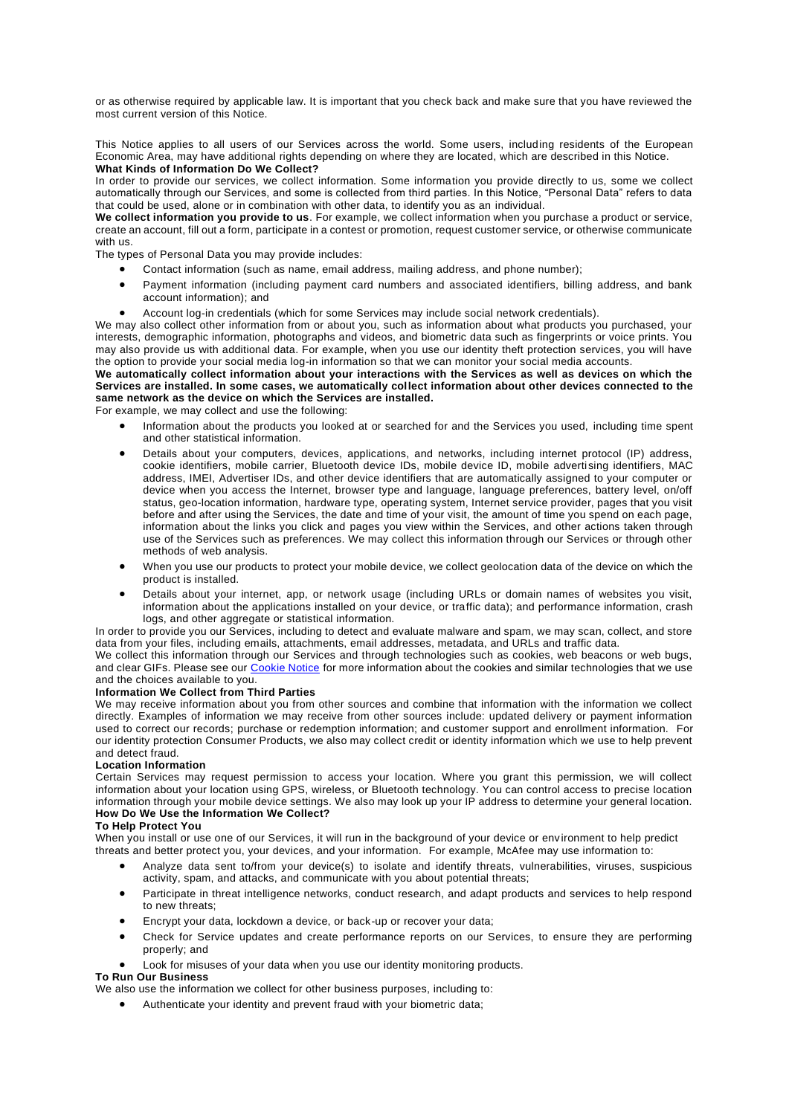or as otherwise required by applicable law. It is important that you check back and make sure that you have reviewed the most current version of this Notice.

This Notice applies to all users of our Services across the world. Some users, including residents of the European Economic Area, may have additional rights depending on where they are located, which are described in this Notice. **What Kinds of Information Do We Collect?**

In order to provide our services, we collect information. Some information you provide directly to us, some we collect automatically through our Services, and some is collected from third parties. In this Notice, "Personal Data" refers to data that could be used, alone or in combination with other data, to identify you as an individual.

**We collect information you provide to us**. For example, we collect information when you purchase a product or service, create an account, fill out a form, participate in a contest or promotion, request customer service, or otherwise communicate with us.

The types of Personal Data you may provide includes:

- Contact information (such as name, email address, mailing address, and phone number);
- Payment information (including payment card numbers and associated identifiers, billing address, and bank account information); and
- Account log-in credentials (which for some Services may include social network credentials).

We may also collect other information from or about you, such as information about what products you purchased, your interests, demographic information, photographs and videos, and biometric data such as fingerprints or voice prints. You may also provide us with additional data. For example, when you use our identity theft protection services, you will have the option to provide your social media log-in information so that we can monitor your social media accounts.

**We automatically collect information about your interactions with the Services as well as devices on which the Services are installed. In some cases, we automatically collect information about other devices connected to the same network as the device on which the Services are installed.**

For example, we may collect and use the following:

- Information about the products you looked at or searched for and the Services you used, including time spent and other statistical information.
- Details about your computers, devices, applications, and networks, including internet protocol (IP) address, cookie identifiers, mobile carrier, Bluetooth device IDs, mobile device ID, mobile advertising identifiers, MAC address, IMEI, Advertiser IDs, and other device identifiers that are automatically assigned to your computer or device when you access the Internet, browser type and language, language preferences, battery level, on/off status, geo-location information, hardware type, operating system, Internet service provider, pages that you visit before and after using the Services, the date and time of your visit, the amount of time you spend on each page, information about the links you click and pages you view within the Services, and other actions taken through use of the Services such as preferences. We may collect this information through our Services or through other methods of web analysis.
- When you use our products to protect your mobile device, we collect geolocation data of the device on which the product is installed.
- Details about your internet, app, or network usage (including URLs or domain names of websites you visit, information about the applications installed on your device, or traffic data); and performance information, crash logs, and other aggregate or statistical information.

In order to provide you our Services, including to detect and evaluate malware and spam, we may scan, collect, and store data from your files, including emails, attachments, email addresses, metadata, and URLs and traffic data.

We collect this information through our Services and through technologies such as cookies, web beacons or web bugs, and clear GIFs. Please see our [Cookie Notice](https://www.mcafee.com/en-nz/consumer-support/policy/legal.html#cookie) for more information about the cookies and similar technologies that we use and the choices available to you.

#### **Information We Collect from Third Parties**

We may receive information about you from other sources and combine that information with the information we collect directly. Examples of information we may receive from other sources include: updated delivery or payment information used to correct our records; purchase or redemption information; and customer support and enrollment information. For our identity protection Consumer Products, we also may collect credit or identity information which we use to help prevent and detect fraud.

#### **Location Information**

Certain Services may request permission to access your location. Where you grant this permission, we will collect information about your location using GPS, wireless, or Bluetooth technology. You can control access to precise location information through your mobile device settings. We also may look up your IP address to determine your general location. **How Do We Use the Information We Collect?**

## **To Help Protect You**

When you install or use one of our Services, it will run in the background of your device or env ironment to help predict threats and better protect you, your devices, and your information. For example, McAfee may use information to:

- Analyze data sent to/from your device(s) to isolate and identify threats, vulnerabilities, viruses, suspicious activity, spam, and attacks, and communicate with you about potential threats;
- Participate in threat intelligence networks, conduct research, and adapt products and services to help respond to new threats;
- Encrypt your data, lockdown a device, or back-up or recover your data;
- Check for Service updates and create performance reports on our Services, to ensure they are performing properly; and
- Look for misuses of your data when you use our identity monitoring products.

## **To Run Our Business**

We also use the information we collect for other business purposes, including to:

• Authenticate your identity and prevent fraud with your biometric data;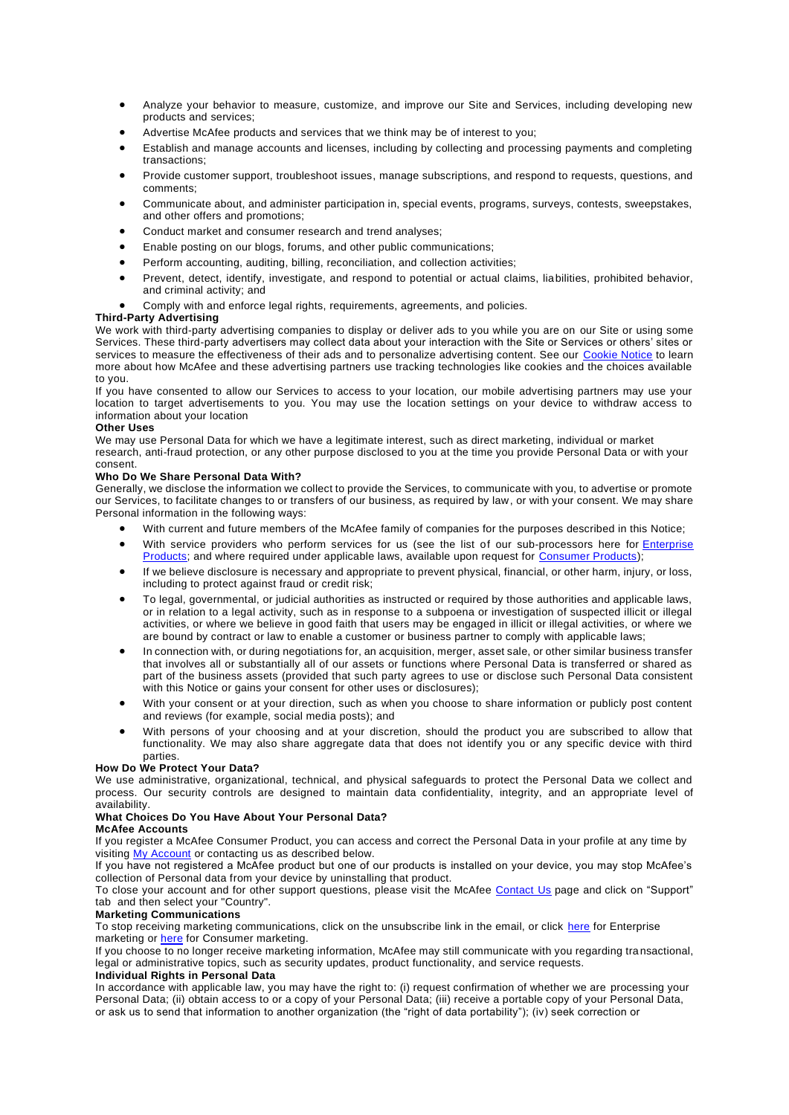- Analyze your behavior to measure, customize, and improve our Site and Services, including developing new products and services;
- Advertise McAfee products and services that we think may be of interest to you;
- Establish and manage accounts and licenses, including by collecting and processing payments and completing transactions;
- Provide customer support, troubleshoot issues, manage subscriptions, and respond to requests, questions, and comments;
- Communicate about, and administer participation in, special events, programs, surveys, contests, sweepstakes, and other offers and promotions;
- Conduct market and consumer research and trend analyses;
- Enable posting on our blogs, forums, and other public communications;
- Perform accounting, auditing, billing, reconciliation, and collection activities;
- Prevent, detect, identify, investigate, and respond to potential or actual claims, liabilities, prohibited behavior, and criminal activity; and
- Comply with and enforce legal rights, requirements, agreements, and policies.

## **Third-Party Advertising**

We work with third-party advertising companies to display or deliver ads to you while you are on our Site or using some Services. These third-party advertisers may collect data about your interaction with the Site or Services or others' sites or services to measure the effectiveness of their ads and to personalize advertising content. See our [Cookie Notice](https://www.mcafee.com/en-nz/consumer-support/policy/legal.html#cookie) to learn more about how McAfee and these advertising partners use tracking technologies like cookies and the choices available to you.

If you have consented to allow our Services to access to your location, our mobile advertising partners may use your location to target advertisements to you. You may use the location settings on your device to withdraw access to information about your location

#### **Other Uses**

We may use Personal Data for which we have a legitimate interest, such as direct marketing, individual or market research, anti-fraud protection, or any other purpose disclosed to you at the time you provide Personal Data or with your consent.

#### **Who Do We Share Personal Data With?**

Generally, we disclose the information we collect to provide the Services, to communicate with you, to advertise or promote our Services, to facilitate changes to or transfers of our business, as required by law, or with your consent. We may share Personal information in the following ways:

- With current and future members of the McAfee family of companies for the purposes described in this Notice;
- With service providers who perform services for us (see the list of our sub-processors here for *Enterprise* [Products;](https://www.mcafee.com/enterprise/en-us/assets/legal/enterprise-sub-processor-list.pdf) and where required under applicable laws, available upon request for [Consumer Products\)](https://www.mcafee.com/enterprise/en-us/about/legal/gdpr-data-request.html/);
- If we believe disclosure is necessary and appropriate to prevent physical, financial, or other harm, injury, or loss, including to protect against fraud or credit risk;
- To legal, governmental, or judicial authorities as instructed or required by those authorities and applicable laws, or in relation to a legal activity, such as in response to a subpoena or investigation of suspected illicit or illegal activities, or where we believe in good faith that users may be engaged in illicit or illegal activities, or where we are bound by contract or law to enable a customer or business partner to comply with applicable laws;
- In connection with, or during negotiations for, an acquisition, merger, asset sale, or other similar business transfer that involves all or substantially all of our assets or functions where Personal Data is transferred or shared as part of the business assets (provided that such party agrees to use or disclose such Personal Data consistent with this Notice or gains your consent for other uses or disclosures);
- With your consent or at your direction, such as when you choose to share information or publicly post content and reviews (for example, social media posts); and
- With persons of your choosing and at your discretion, should the product you are subscribed to allow that functionality. We may also share aggregate data that does not identify you or any specific device with third parties.

#### **How Do We Protect Your Data?**

We use administrative, organizational, technical, and physical safeguards to protect the Personal Data we collect and process. Our security controls are designed to maintain data confidentiality, integrity, and an appropriate level of availability.

## **What Choices Do You Have About Your Personal Data?**

#### **McAfee Accounts**

If you register a McAfee Consumer Product, you can access and correct the Personal Data in your profile at any time by visiting [My Account](https://home.mcafee.com/Secure/MyAccount/DashBoard.aspx?culture=en-nz) or contacting us as described below.

If you have not registered a McAfee product but one of our products is installed on your device, you may stop McAfee's collection of Personal data from your device by uninstalling that product.

To close your account and for other support questions, please visit the McAfee [Contact Us](https://service.mcafee.com/webcenter/portal/cp/home?locale=en-NZ) page and click on "Support" tab and then select your "Country".

### **Marketing Communications**

To stop receiving marketing communications, click on the unsubscribe link in the email, or click [here](https://www.mcafee.com/enterprise/en-us/forms/preferences/communication.html) for Enterprise marketing or **[here](https://home.mcafee.com/supportpages/unsub.aspx)** for Consumer marketing.

If you choose to no longer receive marketing information, McAfee may still communicate with you regarding tra nsactional, legal or administrative topics, such as security updates, product functionality, and service requests.

### **Individual Rights in Personal Data**

In accordance with applicable law, you may have the right to: (i) request confirmation of whether we are processing your Personal Data; (ii) obtain access to or a copy of your Personal Data; (iii) receive a portable copy of your Personal Data, or ask us to send that information to another organization (the "right of data portability"); (iv) seek correction or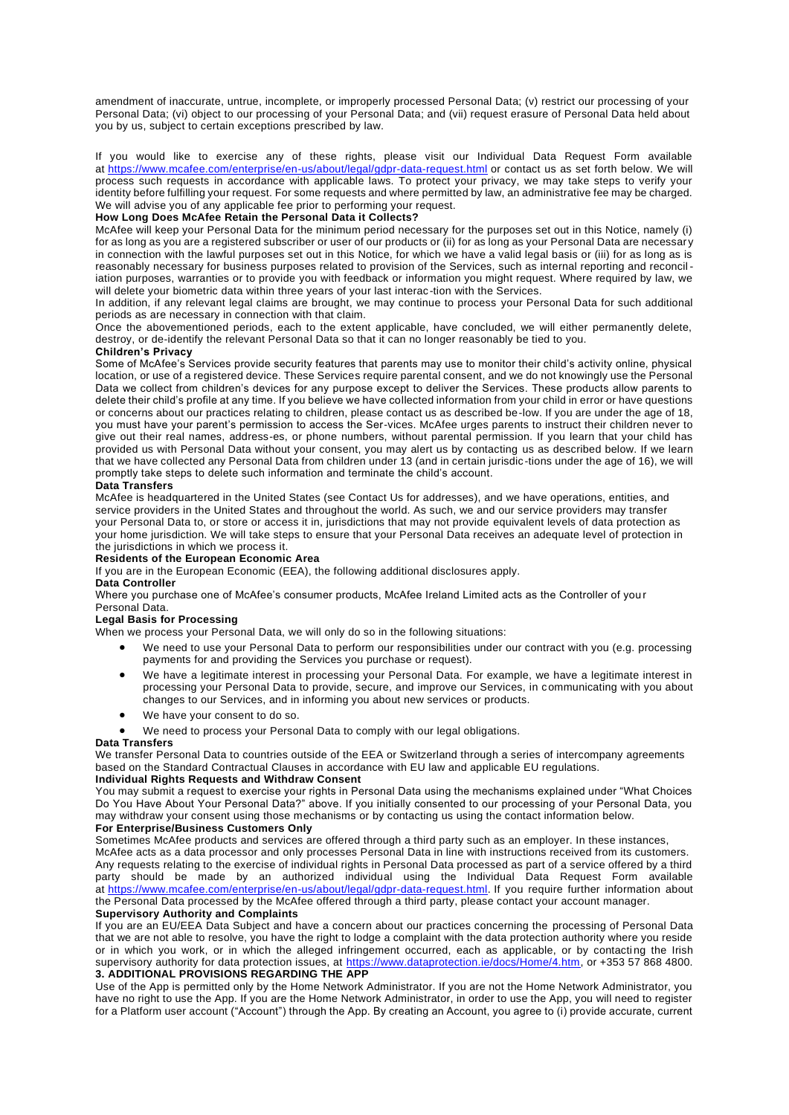amendment of inaccurate, untrue, incomplete, or improperly processed Personal Data; (v) restrict our processing of your Personal Data; (vi) object to our processing of your Personal Data; and (vii) request erasure of Personal Data held about you by us, subject to certain exceptions prescribed by law.

If you would like to exercise any of these rights, please visit our Individual Data Request Form available at [https://www.mcafee.com/enterprise/en-us/about/legal/gdpr-data-request.html](https://www.mcafee.com/enterprise/en-gb/about/legal/gdpr-data-request.html/) or contact us as set forth below. We will process such requests in accordance with applicable laws. To protect your privacy, we may take steps to verify your identity before fulfilling your request. For some requests and where permitted by law, an administrative fee may be charged. We will advise you of any applicable fee prior to performing your request.

## **How Long Does McAfee Retain the Personal Data it Collects?**

McAfee will keep your Personal Data for the minimum period necessary for the purposes set out in this Notice, namely (i) for as long as you are a registered subscriber or user of our products or (ii) for as long as your Personal Data are necessary in connection with the lawful purposes set out in this Notice, for which we have a valid legal basis or (iii) for as long as is reasonably necessary for business purposes related to provision of the Services, such as internal reporting and reconcil iation purposes, warranties or to provide you with feedback or information you might request. Where required by law, we will delete your biometric data within three years of your last interac-tion with the Services.

In addition, if any relevant legal claims are brought, we may continue to process your Personal Data for such additional periods as are necessary in connection with that claim.

Once the abovementioned periods, each to the extent applicable, have concluded, we will either permanently delete, destroy, or de-identify the relevant Personal Data so that it can no longer reasonably be tied to you.

#### **Children's Privacy**

Some of McAfee's Services provide security features that parents may use to monitor their child's activity online, physical location, or use of a registered device. These Services require parental consent, and we do not knowingly use the Personal Data we collect from children's devices for any purpose except to deliver the Services. These products allow parents to delete their child's profile at any time. If you believe we have collected information from your child in error or have questions or concerns about our practices relating to children, please contact us as described be-low. If you are under the age of 18, you must have your parent's permission to access the Ser-vices. McAfee urges parents to instruct their children never to give out their real names, address-es, or phone numbers, without parental permission. If you learn that your child has provided us with Personal Data without your consent, you may alert us by contacting us as described below. If we learn that we have collected any Personal Data from children under 13 (and in certain jurisdic -tions under the age of 16), we will promptly take steps to delete such information and terminate the child's account.

#### **Data Transfers**

McAfee is headquartered in the United States (see Contact Us for addresses), and we have operations, entities, and service providers in the United States and throughout the world. As such, we and our service providers may transfer your Personal Data to, or store or access it in, jurisdictions that may not provide equivalent levels of data protection as your home jurisdiction. We will take steps to ensure that your Personal Data receives an adequate level of protection in the jurisdictions in which we process it.

## **Residents of the European Economic Area**

If you are in the European Economic (EEA), the following additional disclosures apply.

#### **Data Controller**

Where you purchase one of McAfee's consumer products, McAfee Ireland Limited acts as the Controller of you r Personal Data.

#### **Legal Basis for Processing**

When we process your Personal Data, we will only do so in the following situations:

- We need to use your Personal Data to perform our responsibilities under our contract with you (e.g. processing payments for and providing the Services you purchase or request).
- We have a legitimate interest in processing your Personal Data. For example, we have a legitimate interest in processing your Personal Data to provide, secure, and improve our Services, in communicating with you about changes to our Services, and in informing you about new services or products.
- We have your consent to do so.
- We need to process your Personal Data to comply with our legal obligations.

#### **Data Transfers**

We transfer Personal Data to countries outside of the EEA or Switzerland through a series of intercompany agreements based on the Standard Contractual Clauses in accordance with EU law and applicable EU regulations.

#### **Individual Rights Requests and Withdraw Consent**

You may submit a request to exercise your rights in Personal Data using the mechanisms explained under "What Choices Do You Have About Your Personal Data?" above. If you initially consented to our processing of your Personal Data, you may withdraw your consent using those mechanisms or by contacting us using the contact information below.

#### **For Enterprise/Business Customers Only**

Sometimes McAfee products and services are offered through a third party such as an employer. In these instances,

McAfee acts as a data processor and only processes Personal Data in line with instructions received from its customers. Any requests relating to the exercise of individual rights in Personal Data processed as part of a service offered by a third party should be made by an authorized individual using the Individual Data Request Form available at [https://www.mcafee.com/enterprise/en-us/about/legal/gdpr-data-request.html.](https://www.mcafee.com/enterprise/en-gb/about/legal/gdpr-data-request.html/) If you require further information about the Personal Data processed by the McAfee offered through a third party, please contact your account manager.

#### **Supervisory Authority and Complaints**

If you are an EU/EEA Data Subject and have a concern about our practices concerning the processing of Personal Data that we are not able to resolve, you have the right to lodge a complaint with the data protection authority where you reside or in which you work, or in which the alleged infringement occurred, each as applicable, or by contacti ng the Irish supervisory authority for data protection issues, at [https://www.dataprotection.ie/docs/Home/4.htm,](https://www.dataprotection.ie/docs/Home/4.htm) or +353 57 868 4800. **3. ADDITIONAL PROVISIONS REGARDING THE APP**

Use of the App is permitted only by the Home Network Administrator. If you are not the Home Network Administrator, you have no right to use the App. If you are the Home Network Administrator, in order to use the App, you will need to register for a Platform user account ("Account") through the App. By creating an Account, you agree to (i) provide accurate, current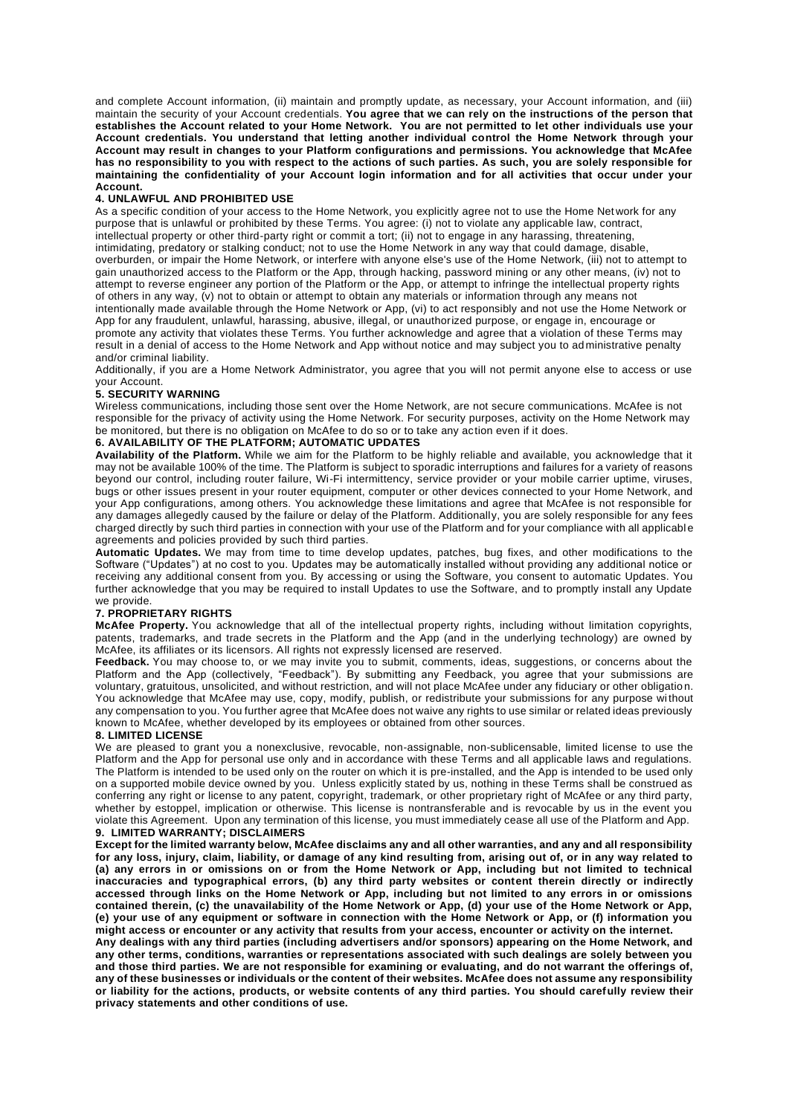and complete Account information, (ii) maintain and promptly update, as necessary, your Account information, and (iii) maintain the security of your Account credentials. **You agree that we can rely on the instructions of the person that establishes the Account related to your Home Network. You are not permitted to let other individuals use your Account credentials. You understand that letting another individual control the Home Network through your Account may result in changes to your Platform configurations and permissions. You acknowledge that McAfee has no responsibility to you with respect to the actions of such parties. As such, you are solely responsible for maintaining the confidentiality of your Account login information and for all activities that occur under your Account.**

#### **4. UNLAWFUL AND PROHIBITED USE**

As a specific condition of your access to the Home Network, you explicitly agree not to use the Home Network for any purpose that is unlawful or prohibited by these Terms. You agree: (i) not to violate any applicable law, contract, intellectual property or other third-party right or commit a tort; (ii) not to engage in any harassing, threatening, intimidating, predatory or stalking conduct; not to use the Home Network in any way that could damage, disable, overburden, or impair the Home Network, or interfere with anyone else's use of the Home Network, (iii) not to attempt to gain unauthorized access to the Platform or the App, through hacking, password mining or any other means, (iv) not to attempt to reverse engineer any portion of the Platform or the App, or attempt to infringe the intellectual property rights of others in any way, (v) not to obtain or attempt to obtain any materials or information through any means not intentionally made available through the Home Network or App, (vi) to act responsibly and not use the Home Network or App for any fraudulent, unlawful, harassing, abusive, illegal, or unauthorized purpose, or engage in, encourage or promote any activity that violates these Terms. You further acknowledge and agree that a violation of these Terms may result in a denial of access to the Home Network and App without notice and may subject you to administrative penalty and/or criminal liability.

Additionally, if you are a Home Network Administrator, you agree that you will not permit anyone else to access or use your Account.

#### **5. SECURITY WARNING**

Wireless communications, including those sent over the Home Network, are not secure communications. McAfee is not responsible for the privacy of activity using the Home Network. For security purposes, activity on the Home Network may be monitored, but there is no obligation on McAfee to do so or to take any action even if it does.

#### **6. AVAILABILITY OF THE PLATFORM; AUTOMATIC UPDATES**

**Availability of the Platform.** While we aim for the Platform to be highly reliable and available, you acknowledge that it may not be available 100% of the time. The Platform is subject to sporadic interruptions and failures for a variety of reasons beyond our control, including router failure, Wi-Fi intermittency, service provider or your mobile carrier uptime, viruses, bugs or other issues present in your router equipment, computer or other devices connected to your Home Network, and your App configurations, among others. You acknowledge these limitations and agree that McAfee is not responsible for any damages allegedly caused by the failure or delay of the Platform. Additionally, you are solely responsible for any fees charged directly by such third parties in connection with your use of the Platform and for your compliance with all applicabl e agreements and policies provided by such third parties.

**Automatic Updates.** We may from time to time develop updates, patches, bug fixes, and other modifications to the Software ("Updates") at no cost to you. Updates may be automatically installed without providing any additional notice or receiving any additional consent from you. By accessing or using the Software, you consent to automatic Updates. You further acknowledge that you may be required to install Updates to use the Software, and to promptly install any Update we provide.

#### **7. PROPRIETARY RIGHTS**

**McAfee Property.** You acknowledge that all of the intellectual property rights, including without limitation copyrights, patents, trademarks, and trade secrets in the Platform and the App (and in the underlying technology) are owned by McAfee, its affiliates or its licensors. All rights not expressly licensed are reserved.

**Feedback.** You may choose to, or we may invite you to submit, comments, ideas, suggestions, or concerns about the Platform and the App (collectively, "Feedback"). By submitting any Feedback, you agree that your submissions are voluntary, gratuitous, unsolicited, and without restriction, and will not place McAfee under any fiduciary or other obligatio n. You acknowledge that McAfee may use, copy, modify, publish, or redistribute your submissions for any purpose wi thout any compensation to you. You further agree that McAfee does not waive any rights to use similar or related ideas previously known to McAfee, whether developed by its employees or obtained from other sources.

#### **8. LIMITED LICENSE**

We are pleased to grant you a nonexclusive, revocable, non-assignable, non-sublicensable, limited license to use the Platform and the App for personal use only and in accordance with these Terms and all applicable laws and regulations. The Platform is intended to be used only on the router on which it is pre-installed, and the App is intended to be used only on a supported mobile device owned by you. Unless explicitly stated by us, nothing in these Terms shall be construed as conferring any right or license to any patent, copyright, trademark, or other proprietary right of McAfee or any third party, whether by estoppel, implication or otherwise. This license is nontransferable and is revocable by us in the event you violate this Agreement. Upon any termination of this license, you must immediately cease all use of the Platform and App.

#### **9. LIMITED WARRANTY; DISCLAIMERS**

**Except for the limited warranty below, McAfee disclaims any and all other warranties, and any and all responsibility for any loss, injury, claim, liability, or damage of any kind resulting from, arising out of, or in any way related to (a) any errors in or omissions on or from the Home Network or App, including but not limited to technical inaccuracies and typographical errors, (b) any third party websites or content therein directly or indirectly accessed through links on the Home Network or App, including but not limited to any errors in or omissions contained therein, (c) the unavailability of the Home Network or App, (d) your use of the Home Network or App, (e) your use of any equipment or software in connection with the Home Network or App, or (f) information you might access or encounter or any activity that results from your access, encounter or activity on the internet.**

**Any dealings with any third parties (including advertisers and/or sponsors) appearing on the Home Network, and any other terms, conditions, warranties or representations associated with such dealings are solely between you and those third parties. We are not responsible for examining or evaluating, and do not warrant the offerings of, any of these businesses or individuals or the content of their websites. McAfee does not assume any responsibility or liability for the actions, products, or website contents of any third parties. You should carefully review their privacy statements and other conditions of use.**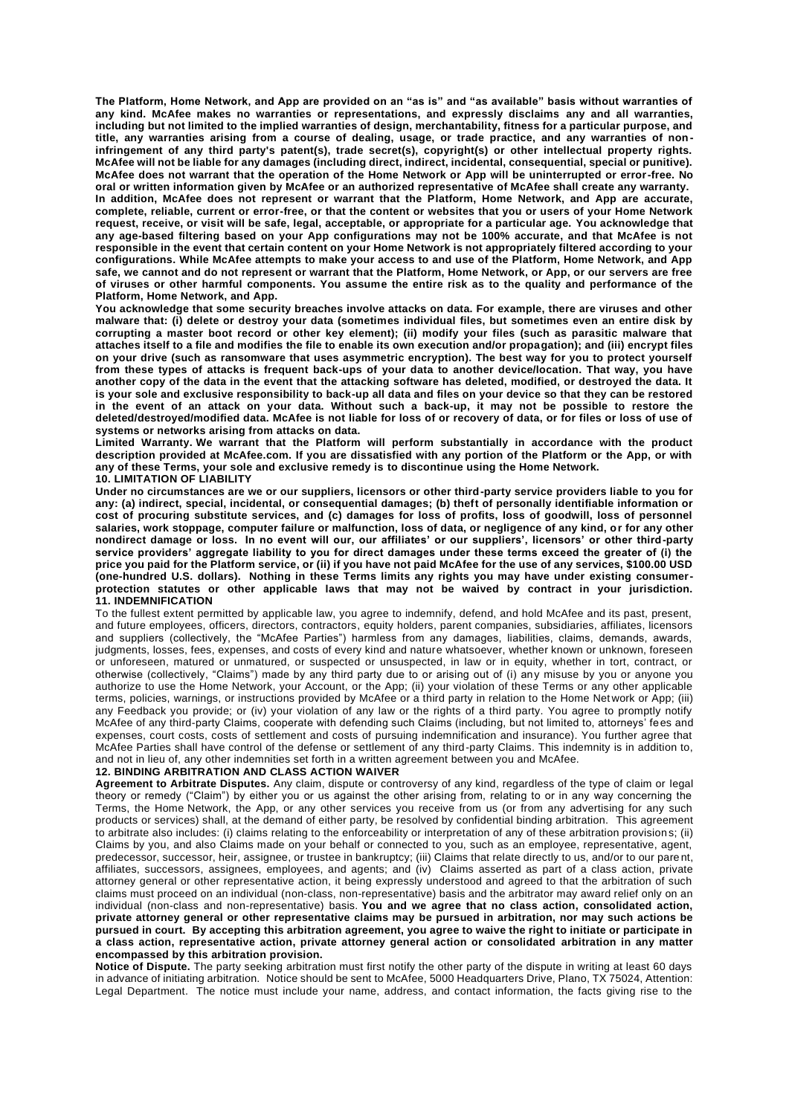**The Platform, Home Network, and App are provided on an "as is" and "as available" basis without warranties of any kind. McAfee makes no warranties or representations, and expressly disclaims any and all warranties, including but not limited to the implied warranties of design, merchantability, fitness for a particular purpose, and title, any warranties arising from a course of dealing, usage, or trade practice, and any warranties of non infringement of any third party's patent(s), trade secret(s), copyright(s) or other intellectual property rights. McAfee will not be liable for any damages (including direct, indirect, incidental, consequential, special or punitive). McAfee does not warrant that the operation of the Home Network or App will be uninterrupted or error-free. No oral or written information given by McAfee or an authorized representative of McAfee shall create any warranty. In addition, McAfee does not represent or warrant that the Platform, Home Network, and App are accurate, complete, reliable, current or error-free, or that the content or websites that you or users of your Home Network request, receive, or visit will be safe, legal, acceptable, or appropriate for a particular age. You acknowledge that any age-based filtering based on your App configurations may not be 100% accurate, and that McAfee is not responsible in the event that certain content on your Home Network is not appropriately filtered according to your configurations. While McAfee attempts to make your access to and use of the Platform, Home Network, and App safe, we cannot and do not represent or warrant that the Platform, Home Network, or App, or our servers are free of viruses or other harmful components. You assume the entire risk as to the quality and performance of the** 

**Platform, Home Network, and App. You acknowledge that some security breaches involve attacks on data. For example, there are viruses and other malware that: (i) delete or destroy your data (sometimes individual files, but sometimes even an entire disk by corrupting a master boot record or other key element); (ii) modify your files (such as parasitic malware that attaches itself to a file and modifies the file to enable its own execution and/or propagation); and (iii) encrypt files on your drive (such as ransomware that uses asymmetric encryption). The best way for you to protect yourself from these types of attacks is frequent back-ups of your data to another device/location. That way, you have another copy of the data in the event that the attacking software has deleted, modified, or destroyed the data. It is your sole and exclusive responsibility to back-up all data and files on your device so that they can be restored in the event of an attack on your data. Without such a back-up, it may not be possible to restore the deleted/destroyed/modified data. McAfee is not liable for loss of or recovery of data, or for files or loss of use of systems or networks arising from attacks on data.**

**Limited Warranty. We warrant that the Platform will perform substantially in accordance with the product description provided at McAfee.com. If you are dissatisfied with any portion of the Platform or the App, or with any of these Terms, your sole and exclusive remedy is to discontinue using the Home Network. 10. LIMITATION OF LIABILITY**

**Under no circumstances are we or our suppliers, licensors or other third-party service providers liable to you for any: (a) indirect, special, incidental, or consequential damages; (b) theft of personally identifiable information or cost of procuring substitute services, and (c) damages for loss of profits, loss of goodwill, loss of personnel salaries, work stoppage, computer failure or malfunction, loss of data, or negligence of any kind, or for any other nondirect damage or loss. In no event will our, our affiliates' or our suppliers', licensors' or other third-party service providers' aggregate liability to you for direct damages under these terms exceed the greater of (i) the price you paid for the Platform service, or (ii) if you have not paid McAfee for the use of any services, \$100.00 USD (one-hundred U.S. dollars). Nothing in these Terms limits any rights you may have under existing consumerprotection statutes or other applicable laws that may not be waived by contract in your jurisdiction. 11. INDEMNIFICATION**

To the fullest extent permitted by applicable law, you agree to indemnify, defend, and hold McAfee and its past, present, and future employees, officers, directors, contractors, equity holders, parent companies, subsidiaries, affiliates, licensors and suppliers (collectively, the "McAfee Parties") harmless from any damages, liabilities, claims, demands, awards, judgments, losses, fees, expenses, and costs of every kind and nature whatsoever, whether known or unknown, foreseen or unforeseen, matured or unmatured, or suspected or unsuspected, in law or in equity, whether in tort, contract, or otherwise (collectively, "Claims") made by any third party due to or arising out of (i) any misuse by you or anyone you authorize to use the Home Network, your Account, or the App; (ii) your violation of these Terms or any other applicable terms, policies, warnings, or instructions provided by McAfee or a third party in relation to the Home Net work or App; (iii) any Feedback you provide; or (iv) your violation of any law or the rights of a third party. You agree to promptly notify McAfee of any third-party Claims, cooperate with defending such Claims (including, but not limited to, attorneys' fees and expenses, court costs, costs of settlement and costs of pursuing indemnification and insurance). You further agree that McAfee Parties shall have control of the defense or settlement of any third-party Claims. This indemnity is in addition to, and not in lieu of, any other indemnities set forth in a written agreement between you and McAfee.

#### **12. BINDING ARBITRATION AND CLASS ACTION WAIVER**

**Agreement to Arbitrate Disputes.** Any claim, dispute or controversy of any kind, regardless of the type of claim or legal theory or remedy ("Claim") by either you or us against the other arising from, relating to or in any way concerning the Terms, the Home Network, the App, or any other services you receive from us (or from any advertising for any such products or services) shall, at the demand of either party, be resolved by confidential binding arbitration. This agreement to arbitrate also includes: (i) claims relating to the enforceability or interpretation of any of these arbitration provision s; (ii) Claims by you, and also Claims made on your behalf or connected to you, such as an employee, representative, agent, predecessor, successor, heir, assignee, or trustee in bankruptcy; (iii) Claims that relate directly to us, and/or to our pare nt, affiliates, successors, assignees, employees, and agents; and (iv) Claims asserted as part of a class action, private attorney general or other representative action, it being expressly understood and agreed to that the arbitration of such claims must proceed on an individual (non-class, non-representative) basis and the arbitrator may award relief only on an individual (non-class and non-representative) basis. **You and we agree that no class action, consolidated action, private attorney general or other representative claims may be pursued in arbitration, nor may such actions be pursued in court. By accepting this arbitration agreement, you agree to waive the right to initiate or participate in a class action, representative action, private attorney general action or consolidated arbitration in any matter encompassed by this arbitration provision.**

**Notice of Dispute.** The party seeking arbitration must first notify the other party of the dispute in writing at least 60 days in advance of initiating arbitration. Notice should be sent to McAfee, 5000 Headquarters Drive, Plano, TX 75024, Attention: Legal Department. The notice must include your name, address, and contact information, the facts giving rise to the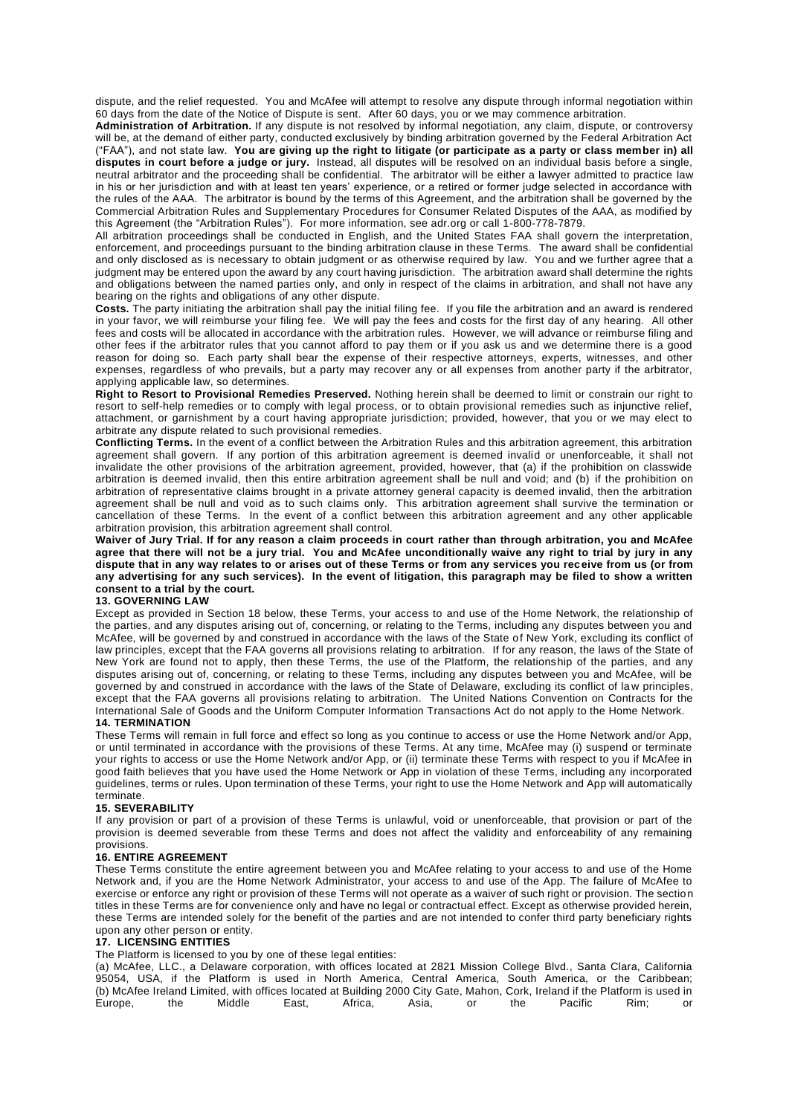dispute, and the relief requested. You and McAfee will attempt to resolve any dispute through informal negotiation within 60 days from the date of the Notice of Dispute is sent. After 60 days, you or we may commence arbitration.

**Administration of Arbitration.** If any dispute is not resolved by informal negotiation, any claim, dispute, or controversy will be, at the demand of either party, conducted exclusively by binding arbitration governed by the Federal Arbitration Act ("FAA"), and not state law. **You are giving up the right to litigate (or participate as a party or class member in) all disputes in court before a judge or jury.** Instead, all disputes will be resolved on an individual basis before a single, neutral arbitrator and the proceeding shall be confidential. The arbitrator will be either a lawyer admitted to practice law in his or her jurisdiction and with at least ten years' experience, or a retired or former judge selected in accordance with the rules of the AAA. The arbitrator is bound by the terms of this Agreement, and the arbitration shall be governed by the Commercial Arbitration Rules and Supplementary Procedures for Consumer Related Disputes of the AAA, as modified by this Agreement (the "Arbitration Rules"). For more information, see adr.org or call 1-800-778-7879.

All arbitration proceedings shall be conducted in English, and the United States FAA shall govern the interpretation, enforcement, and proceedings pursuant to the binding arbitration clause in these Terms. The award shall be confidential and only disclosed as is necessary to obtain judgment or as otherwise required by law. You and we further agree that a judgment may be entered upon the award by any court having jurisdiction. The arbitration award shall determine the rights and obligations between the named parties only, and only in respect of the claims in arbitration, and shall not have any bearing on the rights and obligations of any other dispute.

**Costs.** The party initiating the arbitration shall pay the initial filing fee. If you file the arbitration and an award is rendered in your favor, we will reimburse your filing fee. We will pay the fees and costs for the first day of any hearing. All other fees and costs will be allocated in accordance with the arbitration rules. However, we will advance or reimburse filing and other fees if the arbitrator rules that you cannot afford to pay them or if you ask us and we determine there is a good reason for doing so. Each party shall bear the expense of their respective attorneys, experts, witnesses, and other expenses, regardless of who prevails, but a party may recover any or all expenses from another party if the arbitrator, applying applicable law, so determines.

**Right to Resort to Provisional Remedies Preserved.** Nothing herein shall be deemed to limit or constrain our right to resort to self-help remedies or to comply with legal process, or to obtain provisional remedies such as injunctive relief, attachment, or garnishment by a court having appropriate jurisdiction; provided, however, that you or we may elect to arbitrate any dispute related to such provisional remedies.

**Conflicting Terms.** In the event of a conflict between the Arbitration Rules and this arbitration agreement, this arbitration agreement shall govern. If any portion of this arbitration agreement is deemed invalid or unenforceable, it shall not invalidate the other provisions of the arbitration agreement, provided, however, that (a) if the prohibition on classwide arbitration is deemed invalid, then this entire arbitration agreement shall be null and void; and (b) if the prohibition on arbitration of representative claims brought in a private attorney general capacity is deemed invalid, then the arbitration agreement shall be null and void as to such claims only. This arbitration agreement shall survive the termination or cancellation of these Terms. In the event of a conflict between this arbitration agreement and any other applicable arbitration provision, this arbitration agreement shall control.

**Waiver of Jury Trial. If for any reason a claim proceeds in court rather than through arbitration, you and McAfee agree that there will not be a jury trial. You and McAfee unconditionally waive any right to trial by jury in any dispute that in any way relates to or arises out of these Terms or from any services you receive from us (or from any advertising for any such services). In the event of litigation, this paragraph may be filed to show a written consent to a trial by the court.**

#### **13. GOVERNING LAW**

Except as provided in Section 18 below, these Terms, your access to and use of the Home Network, the relationship of the parties, and any disputes arising out of, concerning, or relating to the Terms, including any disputes between you and McAfee, will be governed by and construed in accordance with the laws of the State of New York, excluding its conflict of law principles, except that the FAA governs all provisions relating to arbitration. If for any reason, the laws of the State of New York are found not to apply, then these Terms, the use of the Platform, the relationship of the parties, and any disputes arising out of, concerning, or relating to these Terms, including any disputes between you and McAfee, will be governed by and construed in accordance with the laws of the State of Delaware, excluding its conflict of la w principles, except that the FAA governs all provisions relating to arbitration. The United Nations Convention on Contracts for the International Sale of Goods and the Uniform Computer Information Transactions Act do not apply to the Home Network. **14. TERMINATION**

These Terms will remain in full force and effect so long as you continue to access or use the Home Network and/or App, or until terminated in accordance with the provisions of these Terms. At any time, McAfee may (i) suspend or terminate your rights to access or use the Home Network and/or App, or (ii) terminate these Terms with respect to you if McAfee in good faith believes that you have used the Home Network or App in violation of these Terms, including any incorporated guidelines, terms or rules. Upon termination of these Terms, your right to use the Home Network and App will automatically terminate.

#### **15. SEVERABILITY**

If any provision or part of a provision of these Terms is unlawful, void or unenforceable, that provision or part of the provision is deemed severable from these Terms and does not affect the validity and enforceability of any remaining provisions.

#### **16. ENTIRE AGREEMENT**

These Terms constitute the entire agreement between you and McAfee relating to your access to and use of the Home Network and, if you are the Home Network Administrator, your access to and use of the App. The failure of McAfee to exercise or enforce any right or provision of these Terms will not operate as a waiver of such right or provision. The section titles in these Terms are for convenience only and have no legal or contractual effect. Except as otherwise provided herein, these Terms are intended solely for the benefit of the parties and are not intended to confer third party beneficiary rights upon any other person or entity.

#### **17. LICENSING ENTITIES**

The Platform is licensed to you by one of these legal entities:

(a) McAfee, LLC., a Delaware corporation, with offices located at 2821 Mission College Blvd., Santa Clara, California 95054, USA, if the Platform is used in North America, Central America, South America, or the Caribbean; (b) McAfee Ireland Limited, with offices located at Building 2000 City Gate, Mahon, Cork, Ireland if the Platform is used in Europe, the Middle East, Africa, Asia, or the Pacific Rim; or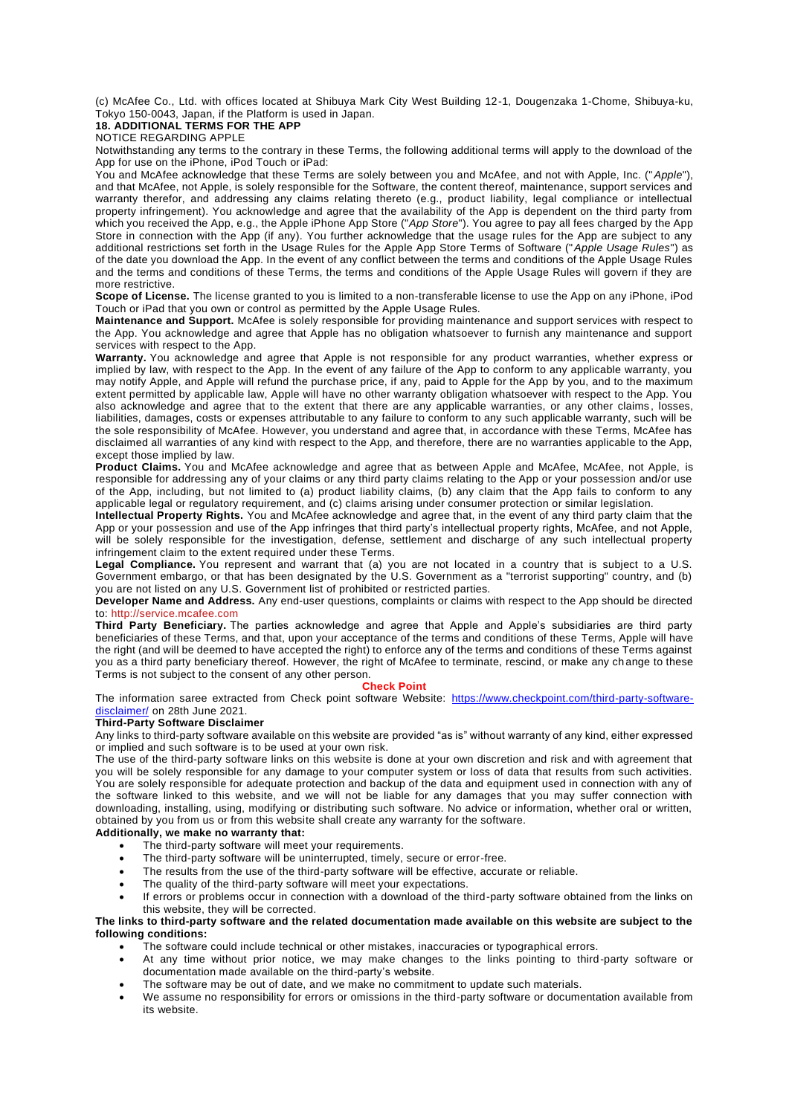(c) McAfee Co., Ltd. with offices located at Shibuya Mark City West Building 12-1, Dougenzaka 1-Chome, Shibuya-ku, Tokyo 150-0043, Japan, if the Platform is used in Japan.

## **18. ADDITIONAL TERMS FOR THE APP**

NOTICE REGARDING APPLE

Notwithstanding any terms to the contrary in these Terms, the following additional terms will apply to the download of the App for use on the iPhone, iPod Touch or iPad:

You and McAfee acknowledge that these Terms are solely between you and McAfee, and not with Apple, Inc. ("*Apple*"), and that McAfee, not Apple, is solely responsible for the Software, the content thereof, maintenance, support services and warranty therefor, and addressing any claims relating thereto (e.g., product liability, legal compliance or intellectual property infringement). You acknowledge and agree that the availability of the App is dependent on the third party from which you received the App, e.g., the Apple iPhone App Store ("*App Store*"). You agree to pay all fees charged by the App Store in connection with the App (if any). You further acknowledge that the usage rules for the App are subject to any additional restrictions set forth in the Usage Rules for the Apple App Store Terms of Software ("*Apple Usage Rules*") as of the date you download the App. In the event of any conflict between the terms and conditions of the Apple Usage Rules and the terms and conditions of these Terms, the terms and conditions of the Apple Usage Rules will govern if they are more restrictive.

**Scope of License.** The license granted to you is limited to a non-transferable license to use the App on any iPhone, iPod Touch or iPad that you own or control as permitted by the Apple Usage Rules.

**Maintenance and Support.** McAfee is solely responsible for providing maintenance and support services with respect to the App. You acknowledge and agree that Apple has no obligation whatsoever to furnish any maintenance and support services with respect to the App.

**Warranty.** You acknowledge and agree that Apple is not responsible for any product warranties, whether express or implied by law, with respect to the App. In the event of any failure of the App to conform to any applicable warranty, you may notify Apple, and Apple will refund the purchase price, if any, paid to Apple for the App by you, and to the maximum extent permitted by applicable law, Apple will have no other warranty obligation whatsoever with respect to the App. You also acknowledge and agree that to the extent that there are any applicable warranties, or any other claims , losses, liabilities, damages, costs or expenses attributable to any failure to conform to any such applicable warranty, such will be the sole responsibility of McAfee. However, you understand and agree that, in accordance with these Terms, McAfee has disclaimed all warranties of any kind with respect to the App, and therefore, there are no warranties applicable to the App, except those implied by law.

**Product Claims.** You and McAfee acknowledge and agree that as between Apple and McAfee, McAfee, not Apple, is responsible for addressing any of your claims or any third party claims relating to the App or your possession and/or use of the App, including, but not limited to (a) product liability claims, (b) any claim that the App fails to conform to any applicable legal or regulatory requirement, and (c) claims arising under consumer protection or similar legislation.

**Intellectual Property Rights.** You and McAfee acknowledge and agree that, in the event of any third party claim that the App or your possession and use of the App infringes that third party's intellectual property rights, McAfee, and not Apple, will be solely responsible for the investigation, defense, settlement and discharge of any such intellectual property infringement claim to the extent required under these Terms.

Legal Compliance. You represent and warrant that (a) you are not located in a country that is subject to a U.S. Government embargo, or that has been designated by the U.S. Government as a "terrorist supporting" country, and (b) you are not listed on any U.S. Government list of prohibited or restricted parties.

**Developer Name and Address.** Any end-user questions, complaints or claims with respect to the App should be directed to: [http://service.mcafee.com](https://service.mcafee.com/webcenter/portal/cp/home?locale=en-NZ)

**Third Party Beneficiary.** The parties acknowledge and agree that Apple and Apple's subsidiaries are third party beneficiaries of these Terms, and that, upon your acceptance of the terms and conditions of these Terms, Apple will have the right (and will be deemed to have accepted the right) to enforce any of the terms and conditions of these Terms against you as a third party beneficiary thereof. However, the right of McAfee to terminate, rescind, or make any ch ange to these Terms is not subject to the consent of any other person.

#### **Check Point**

The information saree extracted from Check point software Website: [https://www.checkpoint.com/third-party-software](https://www.checkpoint.com/third-party-software-disclaimer/)[disclaimer/](https://www.checkpoint.com/third-party-software-disclaimer/) on 28th June 2021.

#### **Third-Party Software Disclaimer**

Any links to third-party software available on this website are provided "as is" without warranty of any kind, either expressed or implied and such software is to be used at your own risk.

The use of the third-party software links on this website is done at your own discretion and risk and with agreement that you will be solely responsible for any damage to your computer system or loss of data that results from such activities. You are solely responsible for adequate protection and backup of the data and equipment used in connection with any of the software linked to this website, and we will not be liable for any damages that you may suffer connection with downloading, installing, using, modifying or distributing such software. No advice or information, whether oral or written, obtained by you from us or from this website shall create any warranty for the software.

#### **Additionally, we make no warranty that:**

- The third-party software will meet your requirements.
- The third-party software will be uninterrupted, timely, secure or error-free.
- The results from the use of the third-party software will be effective, accurate or reliable.
- The quality of the third-party software will meet your expectations.
- If errors or problems occur in connection with a download of the third-party software obtained from the links on this website, they will be corrected.

#### **The links to third-party software and the related documentation made available on this website are subject to the following conditions:**

- The software could include technical or other mistakes, inaccuracies or typographical errors.
- At any time without prior notice, we may make changes to the links pointing to third-party software or documentation made available on the third-party's website.
- The software may be out of date, and we make no commitment to update such materials.
- We assume no responsibility for errors or omissions in the third-party software or documentation available from its website.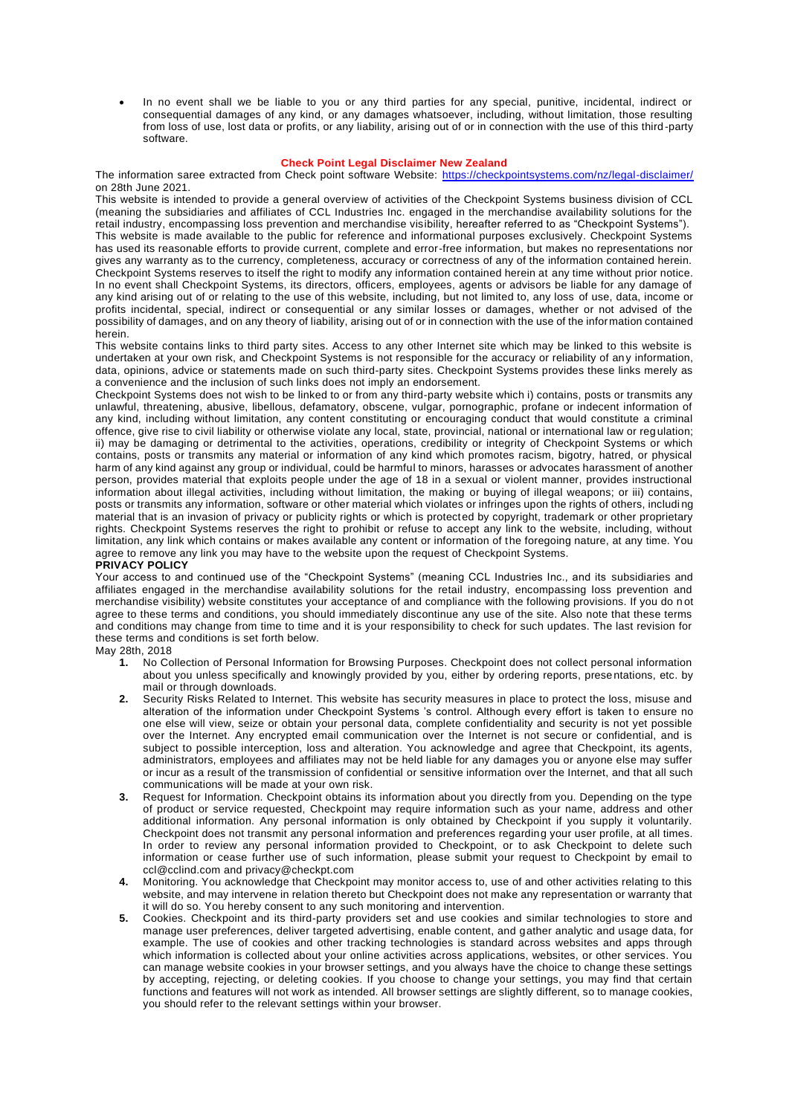• In no event shall we be liable to you or any third parties for any special, punitive, incidental, indirect or consequential damages of any kind, or any damages whatsoever, including, without limitation, those resulting from loss of use, lost data or profits, or any liability, arising out of or in connection with the use of this third-party software.

#### **Check Point Legal Disclaimer New Zealand**

The information saree extracted from Check point software Website:<https://checkpointsystems.com/nz/legal-disclaimer/> on 28th June 2021.

This website is intended to provide a general overview of activities of the Checkpoint Systems business division of CCL (meaning the subsidiaries and affiliates of CCL Industries Inc. engaged in the merchandise availability solutions for the retail industry, encompassing loss prevention and merchandise visibility, hereafter referred to as "Checkpoint Systems"). This website is made available to the public for reference and informational purposes exclusively. Checkpoint Systems has used its reasonable efforts to provide current, complete and error-free information, but makes no representations nor gives any warranty as to the currency, completeness, accuracy or correctness of any of the information contained herein. Checkpoint Systems reserves to itself the right to modify any information contained herein at any time without prior notice. In no event shall Checkpoint Systems, its directors, officers, employees, agents or advisors be liable for any damage of any kind arising out of or relating to the use of this website, including, but not limited to, any loss of use, data, income or profits incidental, special, indirect or consequential or any similar losses or damages, whether or not advised of the possibility of damages, and on any theory of liability, arising out of or in connection with the use of the information contained herein.

This website contains links to third party sites. Access to any other Internet site which may be linked to this website is undertaken at your own risk, and Checkpoint Systems is not responsible for the accuracy or reliability of any information, data, opinions, advice or statements made on such third-party sites. Checkpoint Systems provides these links merely as a convenience and the inclusion of such links does not imply an endorsement.

Checkpoint Systems does not wish to be linked to or from any third-party website which i) contains, posts or transmits any unlawful, threatening, abusive, libellous, defamatory, obscene, vulgar, pornographic, profane or indecent information of any kind, including without limitation, any content constituting or encouraging conduct that would constitute a criminal offence, give rise to civil liability or otherwise violate any local, state, provincial, national or international law or reg ulation; ii) may be damaging or detrimental to the activities, operations, credibility or integrity of Checkpoint Systems or which contains, posts or transmits any material or information of any kind which promotes racism, bigotry, hatred, or physical harm of any kind against any group or individual, could be harmful to minors, harasses or advocates harassment of another person, provides material that exploits people under the age of 18 in a sexual or violent manner, provides instructional information about illegal activities, including without limitation, the making or buying of illegal weapons; or iii) contains, posts or transmits any information, software or other material which violates or infringes upon the rights of others, includi ng material that is an invasion of privacy or publicity rights or which is protected by copyright, trademark or other proprietary rights. Checkpoint Systems reserves the right to prohibit or refuse to accept any link to the website, including, without limitation, any link which contains or makes available any content or information of the foregoing nature, at any time. You agree to remove any link you may have to the website upon the request of Checkpoint Systems.

#### **PRIVACY POLICY**

Your access to and continued use of the "Checkpoint Systems" (meaning CCL Industries Inc., and its subsidiaries and affiliates engaged in the merchandise availability solutions for the retail industry, encompassing loss prevention and merchandise visibility) website constitutes your acceptance of and compliance with the following provisions. If you do n ot agree to these terms and conditions, you should immediately discontinue any use of the site. Also note that these terms and conditions may change from time to time and it is your responsibility to check for such updates. The last revision for these terms and conditions is set forth below.

# May 28th, 2018

- **1.** No Collection of Personal Information for Browsing Purposes. Checkpoint does not collect personal information about you unless specifically and knowingly provided by you, either by ordering reports, prese ntations, etc. by mail or through downloads.
- **2.** Security Risks Related to Internet. This website has security measures in place to protect the loss, misuse and alteration of the information under Checkpoint Systems 's control. Although every effort is taken to ensure no one else will view, seize or obtain your personal data, complete confidentiality and security is not yet possible over the Internet. Any encrypted email communication over the Internet is not secure or confidential, and is subject to possible interception, loss and alteration. You acknowledge and agree that Checkpoint, its agents, administrators, employees and affiliates may not be held liable for any damages you or anyone else may suffer or incur as a result of the transmission of confidential or sensitive information over the Internet, and that all such communications will be made at your own risk.
- **3.** Request for Information. Checkpoint obtains its information about you directly from you. Depending on the type of product or service requested, Checkpoint may require information such as your name, address and other additional information. Any personal information is only obtained by Checkpoint if you supply it voluntarily. Checkpoint does not transmit any personal information and preferences regarding your user profile, at all times. In order to review any personal information provided to Checkpoint, or to ask Checkpoint to delete such information or cease further use of such information, please submit your request to Checkpoint by email to ccl@cclind.com and privacy@checkpt.com
- **4.** Monitoring. You acknowledge that Checkpoint may monitor access to, use of and other activities relating to this website, and may intervene in relation thereto but Checkpoint does not make any representation or warranty that it will do so. You hereby consent to any such monitoring and intervention.
- **5.** Cookies. Checkpoint and its third-party providers set and use cookies and similar technologies to store and manage user preferences, deliver targeted advertising, enable content, and gather analytic and usage data, for example. The use of cookies and other tracking technologies is standard across websites and apps through which information is collected about your online activities across applications, websites, or other services. You can manage website cookies in your browser settings, and you always have the choice to change these settings by accepting, rejecting, or deleting cookies. If you choose to change your settings, you may find that certain functions and features will not work as intended. All browser settings are slightly different, so to manage cookies, you should refer to the relevant settings within your browser.